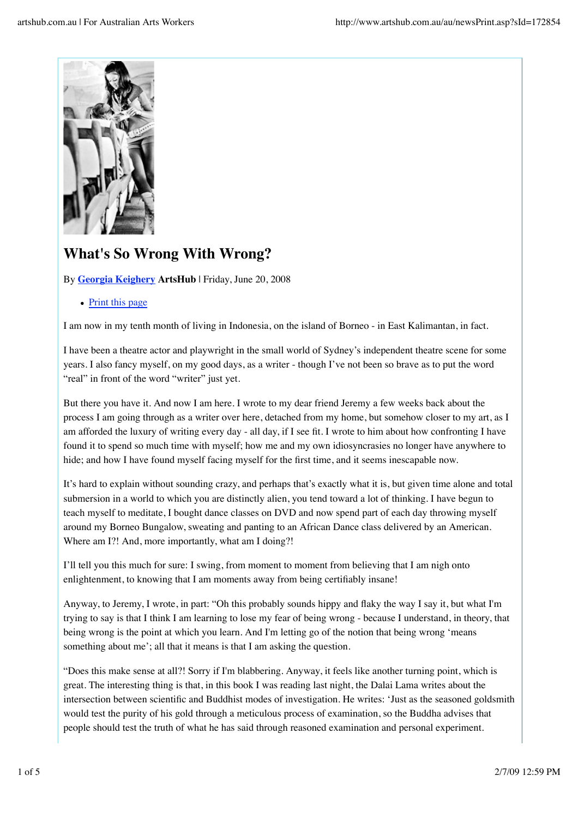

## **What's So Wrong With Wrong?**

By **Georgia Keighery ArtsHub** | Friday, June 20, 2008

• Print this page

I am now in my tenth month of living in Indonesia, on the island of Borneo - in East Kalimantan, in fact.

I have been a theatre actor and playwright in the small world of Sydney's independent theatre scene for some years. I also fancy myself, on my good days, as a writer - though I've not been so brave as to put the word "real" in front of the word "writer" just yet.

But there you have it. And now I am here. I wrote to my dear friend Jeremy a few weeks back about the process I am going through as a writer over here, detached from my home, but somehow closer to my art, as I am afforded the luxury of writing every day - all day, if I see fit. I wrote to him about how confronting I have found it to spend so much time with myself; how me and my own idiosyncrasies no longer have anywhere to hide; and how I have found myself facing myself for the first time, and it seems inescapable now.

It's hard to explain without sounding crazy, and perhaps that's exactly what it is, but given time alone and total submersion in a world to which you are distinctly alien, you tend toward a lot of thinking. I have begun to teach myself to meditate, I bought dance classes on DVD and now spend part of each day throwing myself around my Borneo Bungalow, sweating and panting to an African Dance class delivered by an American. Where am I?! And, more importantly, what am I doing?!

I'll tell you this much for sure: I swing, from moment to moment from believing that I am nigh onto enlightenment, to knowing that I am moments away from being certifiably insane!

Anyway, to Jeremy, I wrote, in part: "Oh this probably sounds hippy and flaky the way I say it, but what I'm trying to say is that I think I am learning to lose my fear of being wrong - because I understand, in theory, that being wrong is the point at which you learn. And I'm letting go of the notion that being wrong 'means something about me'; all that it means is that I am asking the question.

"Does this make sense at all?! Sorry if I'm blabbering. Anyway, it feels like another turning point, which is great. The interesting thing is that, in this book I was reading last night, the Dalai Lama writes about the intersection between scientific and Buddhist modes of investigation. He writes: 'Just as the seasoned goldsmith would test the purity of his gold through a meticulous process of examination, so the Buddha advises that people should test the truth of what he has said through reasoned examination and personal experiment.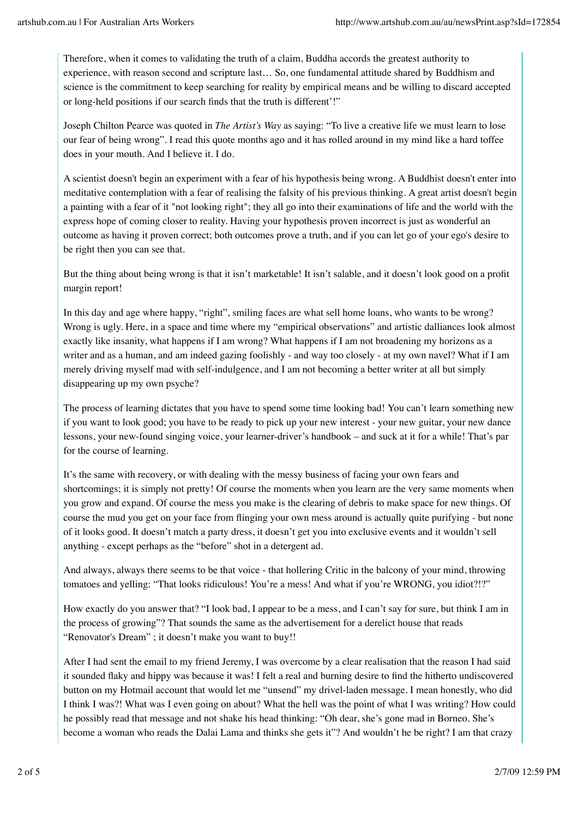Therefore, when it comes to validating the truth of a claim, Buddha accords the greatest authority to experience, with reason second and scripture last… So, one fundamental attitude shared by Buddhism and science is the commitment to keep searching for reality by empirical means and be willing to discard accepted or long-held positions if our search finds that the truth is different'!"

Joseph Chilton Pearce was quoted in *The Artist's Way* as saying: "To live a creative life we must learn to lose our fear of being wrong". I read this quote months ago and it has rolled around in my mind like a hard toffee does in your mouth. And I believe it. I do.

A scientist doesn't begin an experiment with a fear of his hypothesis being wrong. A Buddhist doesn't enter into meditative contemplation with a fear of realising the falsity of his previous thinking. A great artist doesn't begin a painting with a fear of it "not looking right"; they all go into their examinations of life and the world with the express hope of coming closer to reality. Having your hypothesis proven incorrect is just as wonderful an outcome as having it proven correct; both outcomes prove a truth, and if you can let go of your ego's desire to be right then you can see that.

But the thing about being wrong is that it isn't marketable! It isn't salable, and it doesn't look good on a profit margin report!

In this day and age where happy, "right", smiling faces are what sell home loans, who wants to be wrong? Wrong is ugly. Here, in a space and time where my "empirical observations" and artistic dalliances look almost exactly like insanity, what happens if I am wrong? What happens if I am not broadening my horizons as a writer and as a human, and am indeed gazing foolishly - and way too closely - at my own navel? What if I am merely driving myself mad with self-indulgence, and I am not becoming a better writer at all but simply disappearing up my own psyche?

The process of learning dictates that you have to spend some time looking bad! You can't learn something new if you want to look good; you have to be ready to pick up your new interest - your new guitar, your new dance lessons, your new-found singing voice, your learner-driver's handbook – and suck at it for a while! That's par for the course of learning.

It's the same with recovery, or with dealing with the messy business of facing your own fears and shortcomings; it is simply not pretty! Of course the moments when you learn are the very same moments when you grow and expand. Of course the mess you make is the clearing of debris to make space for new things. Of course the mud you get on your face from flinging your own mess around is actually quite purifying - but none of it looks good. It doesn't match a party dress, it doesn't get you into exclusive events and it wouldn't sell anything - except perhaps as the "before" shot in a detergent ad.

And always, always there seems to be that voice - that hollering Critic in the balcony of your mind, throwing tomatoes and yelling: "That looks ridiculous! You're a mess! And what if you're WRONG, you idiot?!?"

How exactly do you answer that? "I look bad, I appear to be a mess, and I can't say for sure, but think I am in the process of growing"? That sounds the same as the advertisement for a derelict house that reads "Renovator's Dream" ; it doesn't make you want to buy!!

After I had sent the email to my friend Jeremy, I was overcome by a clear realisation that the reason I had said it sounded flaky and hippy was because it was! I felt a real and burning desire to find the hitherto undiscovered button on my Hotmail account that would let me "unsend" my drivel-laden message. I mean honestly, who did I think I was?! What was I even going on about? What the hell was the point of what I was writing? How could he possibly read that message and not shake his head thinking: "Oh dear, she's gone mad in Borneo. She's become a woman who reads the Dalai Lama and thinks she gets it"? And wouldn't he be right? I am that crazy